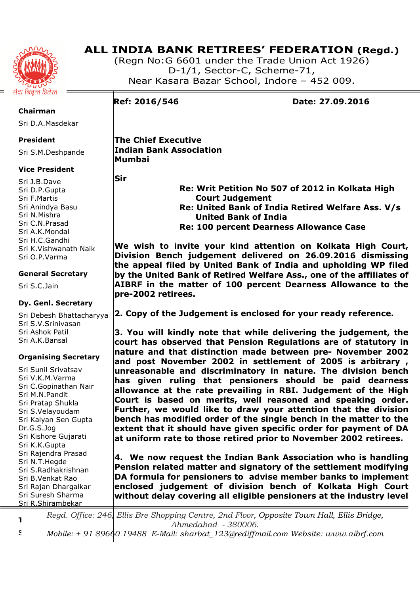

**Chairman** 

# **ALL INDIA BANK RETIREES' FEDERATION (Regd.)**

(Regn No:G 6601 under the Trade Union Act 1926) D-1/1, Sector-C, Scheme-71, Near Kasara Bazar School, Indore – 452 009.

**Ref: 2016/546 Date: 27.09.2016** 

**The Chief Executive Indian Bank Association Mumbai** 

**Sir** 

Sri J.B.Dave Sri D.P.Gupta Sri F.Martis Sri Anindya Basu Sri N.Mishra Sri C.N.Prasad Sri A.K.Mondal Sri H.C.Gandhi Sri K.Vishwanath Naik Sri O.P.Varma

## **General Secretary**

Sri S.C.Jain

## **Dy. Genl. Secretary**

Sri Debesh Bhattacharyya Sri S.V.Srinivasan Sri Ashok Patil Sri A.K.Bansal

## **Organising Secretary**

Sri Sunil Srivatsav Sri V.K.M.Varma Sri C.Gopinathan Nair Sri M.N.Pandit Sri Pratap Shukla Sri S.Velayoudam Sri Kalyan Sen Gupta Dr.G.S.Jog Sri Kishore Gujarati Sri K.K.Gupta Sri Rajendra Prasad Sri N.T.Hegde Sri S.Radhakrishnan Sri B.Venkat Rao Sri Rajan Dhargalkar Sri Suresh Sharma Sri R.Shirambekar

 **Re: Writ Petition No 507 of 2012 in Kolkata High Court Judgement Re: United Bank of India Retired Welfare Ass. V/s United Bank of India Re: 100 percent Dearness Allowance Case** 

**We wish to invite your kind attention on Kolkata High Court, Division Bench judgement delivered on 26.09.2016 dismissing the appeal filed by United Bank of India and upholding WP filed by the United Bank of Retired Welfare Ass., one of the affiliates of AIBRF in the matter of 100 percent Dearness Allowance to the pre-2002 retirees.** 

**2. Copy of the Judgement is enclosed for your ready reference.** 

**3. You will kindly note that while delivering the judgement, the court has observed that Pension Regulations are of statutory in nature and that distinction made between pre- November 2002 and post November 2002 in settlement of 2005 is arbitrary , unreasonable and discriminatory in nature. The division bench has given ruling that pensioners should be paid dearness allowance at the rate prevailing in RBI. Judgement of the High Court is based on merits, well reasoned and speaking order. Further, we would like to draw your attention that the division bench has modified order of the single bench in the matter to the extent that it should have given specific order for payment of DA at uniform rate to those retired prior to November 2002 retirees.** 

**4. We now request the Indian Bank Association who is handling Pension related matter and signatory of the settlement modifying DA formula for pensioners to advise member banks to implement enclosed judgement of division bench of Kolkata High Court without delay covering all eligible pensioners at the industry level** 

**Treasurer**  *Regd. Office: 246, Ellis Bre Shopping Centre, 2nd Floor, Opposite Town Hall, Ellis Bridge, Ahmedabad - 380006.* 

Sri M.S.Chourey *Mobile: + 91 89660 19488 E-Mail: sharbat\_123@rediffmail.com Website: www.aibrf.com* 

Sri D.A.Masdekar **President** 

Sri S.M.Deshpande

## **Vice President**